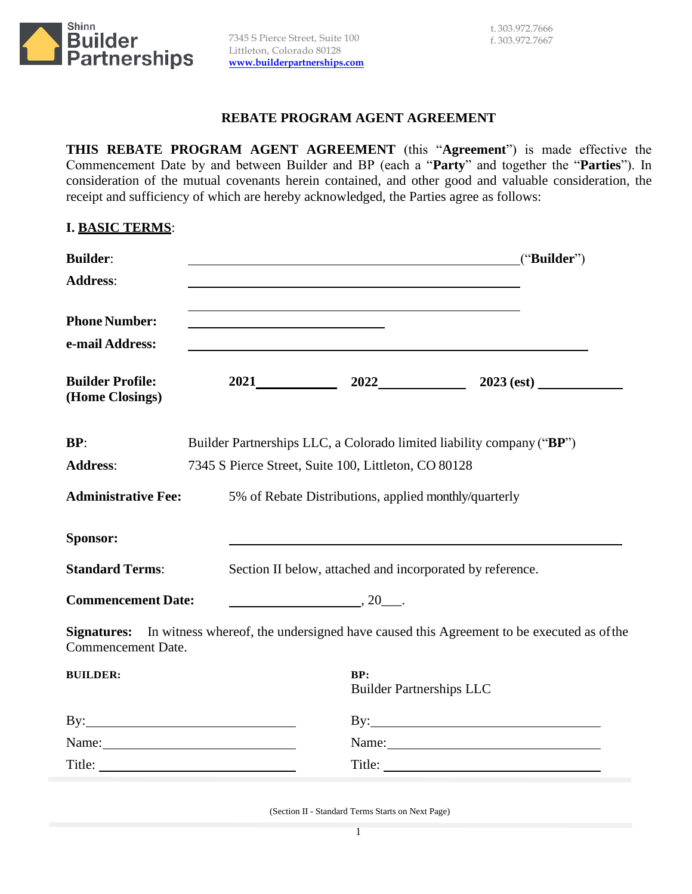

## **REBATE PROGRAM AGENT AGREEMENT**

**THIS REBATE PROGRAM AGENT AGREEMENT** (this "**Agreement**") is made effective the Commencement Date by and between Builder and BP (each a "**Party**" and together the "**Parties**"). In consideration of the mutual covenants herein contained, and other good and valuable consideration, the receipt and sufficiency of which are hereby acknowledged, the Parties agree as follows:

## **I. BASIC TERMS**:

| <b>Builder:</b>                            |                                                       | <u> 1980 - Johann Barnett, fransk politik (d. 1980)</u>                                                                | ("Builder")                                                                                                |
|--------------------------------------------|-------------------------------------------------------|------------------------------------------------------------------------------------------------------------------------|------------------------------------------------------------------------------------------------------------|
| <b>Address:</b>                            |                                                       |                                                                                                                        |                                                                                                            |
| <b>Phone Number:</b><br>e-mail Address:    |                                                       | <u> 1980 - Andrea Station Barbara, actor a component de la componentación de la componentación de la componentació</u> |                                                                                                            |
| <b>Builder Profile:</b><br>(Home Closings) |                                                       |                                                                                                                        | 2021 2022 2023 (est)                                                                                       |
| BP:                                        |                                                       |                                                                                                                        | Builder Partnerships LLC, a Colorado limited liability company ("BP")                                      |
| <b>Address:</b>                            | 7345 S Pierce Street, Suite 100, Littleton, CO 80128  |                                                                                                                        |                                                                                                            |
| <b>Administrative Fee:</b>                 | 5% of Rebate Distributions, applied monthly/quarterly |                                                                                                                        |                                                                                                            |
| Sponsor:                                   |                                                       |                                                                                                                        |                                                                                                            |
| <b>Standard Terms:</b>                     |                                                       | Section II below, attached and incorporated by reference.                                                              |                                                                                                            |
| <b>Commencement Date:</b>                  |                                                       | $\overline{\phantom{a}}$ , 20 $\overline{\phantom{a}}$ .                                                               |                                                                                                            |
| Commencement Date.                         |                                                       |                                                                                                                        | <b>Signatures:</b> In witness whereof, the undersigned have caused this Agreement to be executed as of the |
| <b>BUILDER:</b>                            |                                                       | BP:<br><b>Builder Partnerships LLC</b>                                                                                 |                                                                                                            |
|                                            |                                                       |                                                                                                                        | $\mathbf{By:}\n \overline{\phantom{(1)56} \phantom{(1)}}$                                                  |
|                                            |                                                       |                                                                                                                        |                                                                                                            |
| Title:                                     |                                                       | Title:                                                                                                                 |                                                                                                            |

(Section II - Standard Terms Starts on Next Page)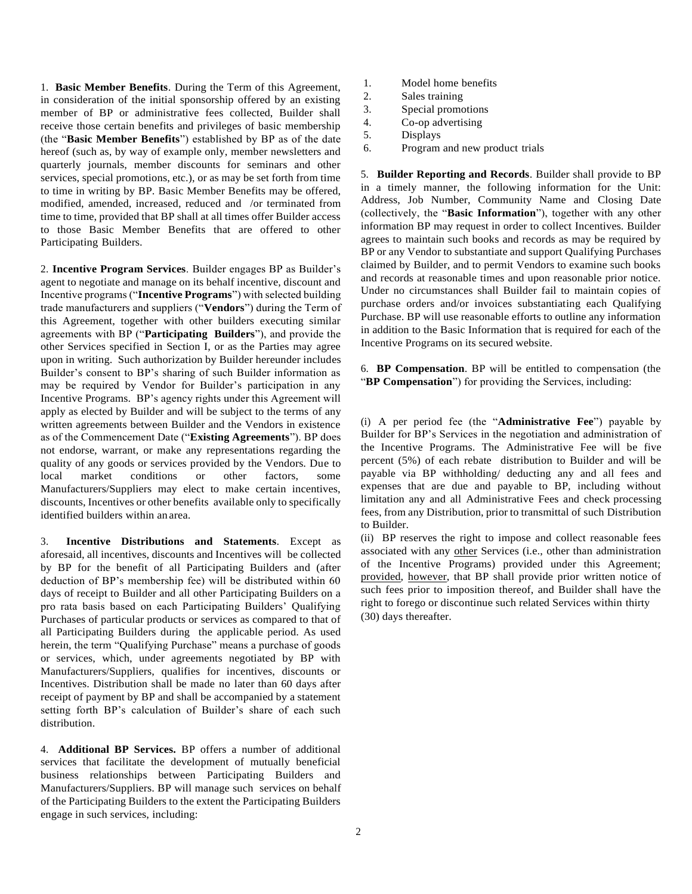1. **Basic Member Benefits**. During the Term of this Agreement, in consideration of the initial sponsorship offered by an existing member of BP or administrative fees collected, Builder shall receive those certain benefits and privileges of basic membership (the "**Basic Member Benefits**") established by BP as of the date hereof (such as, by way of example only, member newsletters and quarterly journals, member discounts for seminars and other services, special promotions, etc.), or as may be set forth from time to time in writing by BP. Basic Member Benefits may be offered, modified, amended, increased, reduced and /or terminated from time to time, provided that BP shall at all times offer Builder access to those Basic Member Benefits that are offered to other Participating Builders.

2. **Incentive Program Services**. Builder engages BP as Builder's agent to negotiate and manage on its behalf incentive, discount and Incentive programs ("**Incentive Programs**") with selected building trade manufacturers and suppliers ("**Vendors**") during the Term of this Agreement, together with other builders executing similar agreements with BP ("**Participating Builders**"), and provide the other Services specified in Section I, or as the Parties may agree upon in writing. Such authorization by Builder hereunder includes Builder's consent to BP's sharing of such Builder information as may be required by Vendor for Builder's participation in any Incentive Programs. BP's agency rights under this Agreement will apply as elected by Builder and will be subject to the terms of any written agreements between Builder and the Vendors in existence as of the Commencement Date ("**Existing Agreements**"). BP does not endorse, warrant, or make any representations regarding the quality of any goods or services provided by the Vendors. Due to local market conditions or other factors, some Manufacturers/Suppliers may elect to make certain incentives, discounts, Incentives or other benefits available only to specifically identified builders within an area.

3. **Incentive Distributions and Statements**. Except as aforesaid, all incentives, discounts and Incentives will be collected by BP for the benefit of all Participating Builders and (after deduction of BP's membership fee) will be distributed within 60 days of receipt to Builder and all other Participating Builders on a pro rata basis based on each Participating Builders' Qualifying Purchases of particular products or services as compared to that of all Participating Builders during the applicable period. As used herein, the term "Qualifying Purchase" means a purchase of goods or services, which, under agreements negotiated by BP with Manufacturers/Suppliers, qualifies for incentives, discounts or Incentives. Distribution shall be made no later than 60 days after receipt of payment by BP and shall be accompanied by a statement setting forth BP's calculation of Builder's share of each such distribution.

4. **Additional BP Services.** BP offers a number of additional services that facilitate the development of mutually beneficial business relationships between Participating Builders and Manufacturers/Suppliers. BP will manage such services on behalf of the Participating Builders to the extent the Participating Builders engage in such services, including:

- 1. Model home benefits
- 2. Sales training
- 3. Special promotions
- 4. Co-op advertising
- 5. Displays
- 6. Program and new product trials

5. **Builder Reporting and Records**. Builder shall provide to BP in a timely manner, the following information for the Unit: Address, Job Number, Community Name and Closing Date (collectively, the "**Basic Information**"), together with any other information BP may request in order to collect Incentives. Builder agrees to maintain such books and records as may be required by BP or any Vendor to substantiate and support Qualifying Purchases claimed by Builder, and to permit Vendors to examine such books and records at reasonable times and upon reasonable prior notice. Under no circumstances shall Builder fail to maintain copies of purchase orders and/or invoices substantiating each Qualifying Purchase. BP will use reasonable efforts to outline any information in addition to the Basic Information that is required for each of the Incentive Programs on its secured website.

6. **BP Compensation**. BP will be entitled to compensation (the "**BP Compensation**") for providing the Services, including:

(i) A per period fee (the "**Administrative Fee**") payable by Builder for BP's Services in the negotiation and administration of the Incentive Programs. The Administrative Fee will be five percent (5%) of each rebate distribution to Builder and will be payable via BP withholding/ deducting any and all fees and expenses that are due and payable to BP, including without limitation any and all Administrative Fees and check processing fees, from any Distribution, prior to transmittal of such Distribution to Builder.

(ii) BP reserves the right to impose and collect reasonable fees associated with any other Services (i.e., other than administration of the Incentive Programs) provided under this Agreement; provided, however, that BP shall provide prior written notice of such fees prior to imposition thereof, and Builder shall have the right to forego or discontinue such related Services within thirty (30) days thereafter.